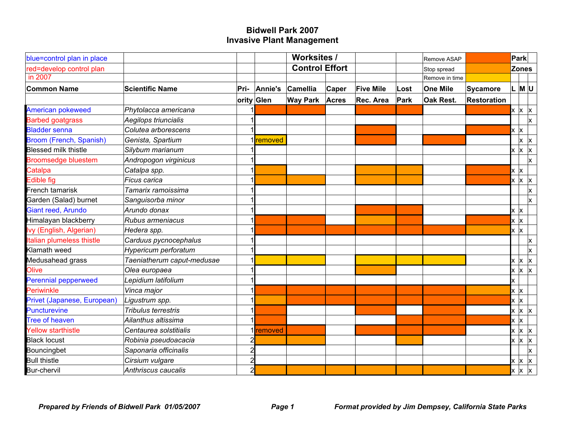| blue=control plan in place  |                            |                |                | <b>Worksites /</b>    |              |                  |             | Remove ASAP      |                    |                         | Park              |                         |
|-----------------------------|----------------------------|----------------|----------------|-----------------------|--------------|------------------|-------------|------------------|--------------------|-------------------------|-------------------|-------------------------|
| red=develop control plan    |                            |                |                | <b>Control Effort</b> |              |                  |             | Stop spread      |                    |                         | <b>Zones</b>      |                         |
| in 2007                     |                            |                |                |                       |              |                  |             | Remove in time   |                    |                         |                   |                         |
| <b>Common Name</b>          | <b>Scientific Name</b>     | Pri-           | Annie's        | Camellia              | Caper        | <b>Five Mile</b> | Lost        | One Mile         | Sycamore           |                         | $ L $ M $ U $     |                         |
|                             |                            |                | ority Glen     | <b>Way Park</b>       | <b>Acres</b> | Rec. Area        | <b>Park</b> | <b>Oak Rest.</b> | <b>Restoration</b> |                         |                   |                         |
| American pokeweed           | Phytolacca americana       |                |                |                       |              |                  |             |                  |                    |                         | $x \mid x \mid x$ |                         |
| <b>Barbed goatgrass</b>     | Aegilops triuncialis       |                |                |                       |              |                  |             |                  |                    |                         |                   | $\mathsf{x}$            |
| <b>Bladder senna</b>        | Colutea arborescens        |                |                |                       |              |                  |             |                  |                    | $x \mid x$              |                   |                         |
| Broom (French, Spanish)     | Genista, Spartium          |                | <b>removed</b> |                       |              |                  |             |                  |                    |                         |                   | x   x                   |
| <b>Blessed milk thistle</b> | Silybum marianum           |                |                |                       |              |                  |             |                  |                    | Ιx                      | $x \mid x$        |                         |
| <b>Broomsedge bluestem</b>  | Andropogon virginicus      |                |                |                       |              |                  |             |                  |                    |                         |                   | <b>x</b>                |
| Catalpa                     | Catalpa spp.               |                |                |                       |              |                  |             |                  |                    | $\mathsf{x} \mathsf{x}$ |                   |                         |
| <b>Edible fig</b>           | <b>Ficus carica</b>        |                |                |                       |              |                  |             |                  |                    |                         | $x \mid x \mid x$ |                         |
| French tamarisk             | Tamarix ramoissima         |                |                |                       |              |                  |             |                  |                    |                         |                   | Ιx.                     |
| Garden (Salad) burnet       | Sanguisorba minor          |                |                |                       |              |                  |             |                  |                    |                         |                   | Ιx.                     |
| Giant reed, Arundo          | Arundo donax               |                |                |                       |              |                  |             |                  |                    | x  x                    |                   |                         |
| Himalayan blackberry        | Rubus armeniacus           |                |                |                       |              |                  |             |                  |                    | $x \mid x$              |                   |                         |
| Ivy (English, Algerian)     | Hedera spp.                |                |                |                       |              |                  |             |                  |                    | $x \times$              |                   |                         |
| Italian plumeless thistle   | Carduus pycnocephalus      |                |                |                       |              |                  |             |                  |                    |                         |                   | ΙX.                     |
| Klamath weed                | Hypericum perforatum       |                |                |                       |              |                  |             |                  |                    |                         |                   | $\mathsf{\overline{x}}$ |
| Medusahead grass            | Taeniatherum caput-medusae |                |                |                       |              |                  |             |                  |                    | ΙX                      | $x \mid x$        |                         |
| Olive                       | Olea europaea              |                |                |                       |              |                  |             |                  |                    | lx.                     | <b>x</b>          | $\mathsf{x}$            |
| <b>Perennial pepperweed</b> | Lepidium latifolium        |                |                |                       |              |                  |             |                  |                    | Ιx                      |                   |                         |
| Periwinkle                  | Vinca major                |                |                |                       |              |                  |             |                  |                    | $x \mathsf{x}$          |                   |                         |
| Privet (Japanese, European) | Ligustrum spp.             |                |                |                       |              |                  |             |                  |                    | $x \mid x$              |                   |                         |
| <b>Puncturevine</b>         | <b>Tribulus terrestris</b> |                |                |                       |              |                  |             |                  |                    |                         | $x \mid x \mid x$ |                         |
| <b>Tree of heaven</b>       | Ailanthus altissima        |                |                |                       |              |                  |             |                  |                    | $x \mathsf{K}$          |                   |                         |
| <b>Yellow starthistle</b>   | Centaurea solstitialis     |                | removed        |                       |              |                  |             |                  |                    |                         | $x \mid x \mid x$ |                         |
| <b>Black locust</b>         | Robinia pseudoacacia       |                |                |                       |              |                  |             |                  |                    |                         | $x \mid x \mid x$ |                         |
| Bouncingbet                 | Saponaria officinalis      | 2              |                |                       |              |                  |             |                  |                    |                         |                   | $\mathsf{\overline{x}}$ |
| <b>Bull thistle</b>         | Cirsium vulgare            | $\overline{2}$ |                |                       |              |                  |             |                  |                    |                         | $x \mid x \mid x$ |                         |
| Bur-chervil                 | Anthriscus caucalis        | $\overline{2}$ |                |                       |              |                  |             |                  |                    |                         |                   | $x \mid x \mid x$       |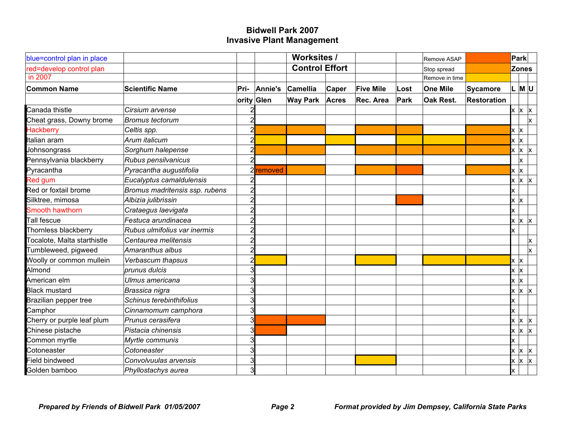| blue=control plan in place  |                                |                |            | <b>Worksites /</b>    |              |                  |             | Remove ASAP      |                    |                         | Park              |                         |
|-----------------------------|--------------------------------|----------------|------------|-----------------------|--------------|------------------|-------------|------------------|--------------------|-------------------------|-------------------|-------------------------|
| red=develop control plan    |                                |                |            | <b>Control Effort</b> |              |                  |             | Stop spread      |                    | <b>Zones</b>            |                   |                         |
| in 2007                     |                                |                |            |                       |              |                  |             | Remove in time   |                    |                         |                   |                         |
| <b>Common Name</b>          | <b>Scientific Name</b>         | Pri-           | Annie's    | Camellia              | Caper        | <b>Five Mile</b> | Lost        | One Mile         | Sycamore           |                         | L M U             |                         |
|                             |                                |                | ority Glen | <b>Way Park</b>       | <b>Acres</b> | Rec. Area        | <b>Park</b> | <b>Oak Rest.</b> | <b>Restoration</b> |                         |                   |                         |
| Canada thistle              | Cirsium arvense                |                |            |                       |              |                  |             |                  |                    |                         | $x \mid x \mid x$ |                         |
| Cheat grass, Downy brome    | Bromus tectorum                | $\overline{c}$ |            |                       |              |                  |             |                  |                    |                         |                   | $\mathsf{\overline{x}}$ |
| <b>Hackberry</b>            | Celtis spp.                    | 2              |            |                       |              |                  |             |                  |                    | $x \mathsf{x}$          |                   |                         |
| Italian aram                | Arum italicum                  | $\overline{2}$ |            |                       |              |                  |             |                  |                    | $x \mid x$              |                   |                         |
| Johnsongrass                | Sorghum halepense              | 2              |            |                       |              |                  |             |                  |                    |                         | $x \mid x \mid x$ |                         |
| Pennsylvania blackberry     | Rubus pensilvanicus            |                |            |                       |              |                  |             |                  |                    |                         | x                 |                         |
| Pyracantha                  | Pyracantha augustifolia        |                | removed    |                       |              |                  |             |                  |                    | $\mathsf{x} \mathsf{x}$ |                   |                         |
| Red gum                     | Eucalyptus camaldulensis       |                |            |                       |              |                  |             |                  |                    |                         | $x \mid x \mid x$ |                         |
| Red or foxtail brome        | Bromus madritensis ssp. rubens |                |            |                       |              |                  |             |                  |                    | ΙX                      |                   |                         |
| Silktree, mimosa            | Albizia julibrissin            | 2              |            |                       |              |                  |             |                  |                    | $x \mathsf{X}$          |                   |                         |
| Smooth hawthorn             | Crataegus laevigata            | 2              |            |                       |              |                  |             |                  |                    | Ιx                      |                   |                         |
| Tall fescue                 | Festuca arundinacea            | 2              |            |                       |              |                  |             |                  |                    |                         | $x \mid x \mid x$ |                         |
| Thornless blackberry        | Rubus ulmifolius var inermis   |                |            |                       |              |                  |             |                  |                    | Ιx                      |                   |                         |
| Tocalote, Malta starthistle | Centaurea melitensis           | 2              |            |                       |              |                  |             |                  |                    |                         |                   | Ιx.                     |
| Tumbleweed, pigweed         | Amaranthus albus               | 2              |            |                       |              |                  |             |                  |                    |                         |                   | Ιx.                     |
| Woolly or common mullein    | Verbascum thapsus              | 2              |            |                       |              |                  |             |                  |                    | $x \mathsf{X}$          |                   |                         |
| Almond                      | prunus dulcis                  | 3              |            |                       |              |                  |             |                  |                    | $x \mathsf{X}$          |                   |                         |
| American elm                | Ulmus americana                | 3              |            |                       |              |                  |             |                  |                    | $x \mathsf{X}$          |                   |                         |
| <b>Black mustard</b>        | Brassica nigra                 | 3              |            |                       |              |                  |             |                  |                    |                         | $x \mid x \mid x$ |                         |
| Brazilian pepper tree       | Schinus terebinthifolius       | 3              |            |                       |              |                  |             |                  |                    | Ιx                      |                   |                         |
| Camphor                     | Cinnamomum camphora            | 3              |            |                       |              |                  |             |                  |                    | lx.                     |                   |                         |
| Cherry or purple leaf plum  | Prunus cerasifera              | 3              |            |                       |              |                  |             |                  |                    | lx.                     | X.                | $\mathsf{X}$            |
| Chinese pistache            | Pistacia chinensis             | 3              |            |                       |              |                  |             |                  |                    |                         | $x \mid x \mid x$ |                         |
| Common myrtle               | Myrtle communis                | 3              |            |                       |              |                  |             |                  |                    | Ιx                      |                   |                         |
| Cotoneaster                 | Cotoneaster                    | 3              |            |                       |              |                  |             |                  |                    | lx.                     | $x \mid x$        |                         |
| <b>Field bindweed</b>       | Convolvuulas arvensis          | 3              |            |                       |              |                  |             |                  |                    |                         | $x \mid x \mid x$ |                         |
| Golden bamboo               | Phyllostachys aurea            | 3              |            |                       |              |                  |             |                  |                    | Ιx                      |                   |                         |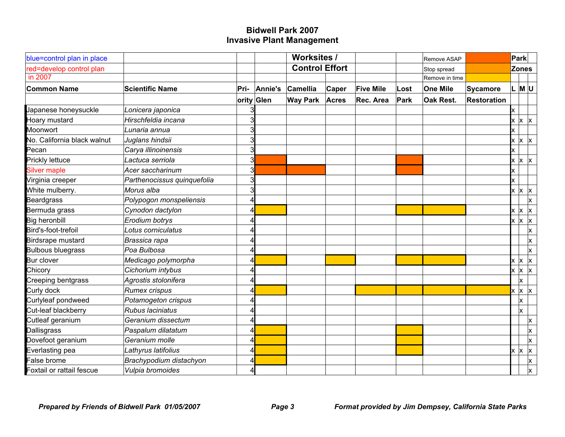| blue=control plan in place  |                             |      |            | <b>Worksites /</b>    |              |                  |             | Remove ASAP      |                    |     | Park              |                   |
|-----------------------------|-----------------------------|------|------------|-----------------------|--------------|------------------|-------------|------------------|--------------------|-----|-------------------|-------------------|
| red=develop control plan    |                             |      |            | <b>Control Effort</b> |              |                  |             | Stop spread      |                    |     | <b>Zones</b>      |                   |
| in 2007                     |                             |      |            |                       |              |                  |             | Remove in time   |                    |     |                   |                   |
| <b>Common Name</b>          | <b>Scientific Name</b>      | Pri- | Annie's    | Camellia              | Caper        | <b>Five Mile</b> | Lost        | One Mile         | Sycamore           |     |                   | L M U             |
|                             |                             |      | ority Glen | <b>Way Park</b>       | <b>Acres</b> | Rec. Area        | <b>Park</b> | <b>Oak Rest.</b> | <b>Restoration</b> |     |                   |                   |
| Japanese honeysuckle        | Lonicera japonica           |      |            |                       |              |                  |             |                  |                    |     |                   |                   |
| Hoary mustard               | Hirschfeldia incana         | 3    |            |                       |              |                  |             |                  |                    |     |                   | $x \mid x \mid x$ |
| Moonwort                    | Lunaria annua               |      |            |                       |              |                  |             |                  |                    |     |                   |                   |
| No. California black walnut | Juglans hindsii             | 3    |            |                       |              |                  |             |                  |                    |     |                   | $x \mid x \mid x$ |
| Pecan                       | Carya illinoinensis         | 3    |            |                       |              |                  |             |                  |                    | Ιx  |                   |                   |
| <b>Prickly lettuce</b>      | Lactuca serriola            | 3    |            |                       |              |                  |             |                  |                    | lx. |                   | $x \mid x$        |
| <b>Silver maple</b>         | Acer saccharinum            | 3    |            |                       |              |                  |             |                  |                    | Ιx  |                   |                   |
| Virginia creeper            | Parthenocissus quinquefolia | З    |            |                       |              |                  |             |                  |                    |     |                   |                   |
| White mulberry.             | Morus alba                  | 3    |            |                       |              |                  |             |                  |                    |     | $x \mid x \mid x$ |                   |
| <b>Beardgrass</b>           | Polypogon monspeliensis     |      |            |                       |              |                  |             |                  |                    |     |                   | <b>x</b>          |
| Bermuda grass               | Cynodon dactylon            |      |            |                       |              |                  |             |                  |                    |     |                   | $x \mid x \mid x$ |
| <b>Big heronbill</b>        | Erodium botrys              |      |            |                       |              |                  |             |                  |                    | Ιx  |                   | $x \mid x$        |
| Bird's-foot-trefoil         | Lotus corniculatus          |      |            |                       |              |                  |             |                  |                    |     |                   | X.                |
| Birdsrape mustard           | Brassica rapa               |      |            |                       |              |                  |             |                  |                    |     |                   | X.                |
| <b>Bulbous bluegrass</b>    | Poa Bulbosa                 |      |            |                       |              |                  |             |                  |                    |     |                   | Ιx.               |
| <b>Bur clover</b>           | Medicago polymorpha         |      |            |                       |              |                  |             |                  |                    | lx. |                   | $x \mid x$        |
| Chicory                     | Cichorium intybus           |      |            |                       |              |                  |             |                  |                    |     |                   | $x \mid x \mid x$ |
| Creeping bentgrass          | Agrostis stolonifera        |      |            |                       |              |                  |             |                  |                    |     | x                 |                   |
| Curly dock                  | <b>Rumex crispus</b>        |      |            |                       |              |                  |             |                  |                    |     |                   | $x \mid x \mid x$ |
| Curlyleaf pondweed          | Potamogeton crispus         |      |            |                       |              |                  |             |                  |                    |     | ΙX.               |                   |
| Cut-leaf blackberry         | Rubus laciniatus            |      |            |                       |              |                  |             |                  |                    |     | Ιx.               |                   |
| Cutleaf geranium            | Geranium dissectum          |      |            |                       |              |                  |             |                  |                    |     |                   | ΙX.               |
| Dallisgrass                 | Paspalum dilatatum          |      |            |                       |              |                  |             |                  |                    |     |                   | Ιx.               |
| Dovefoot geranium           | Geranium molle              |      |            |                       |              |                  |             |                  |                    |     |                   | lx.               |
| Everlasting pea             | Lathyrus latifolius         |      |            |                       |              |                  |             |                  |                    | lx. |                   | $x \mid x$        |
| False brome                 | Brachypodium distachyon     |      |            |                       |              |                  |             |                  |                    |     |                   | <b>x</b>          |
| Foxtail or rattail fescue   | Vulpia bromoides            |      |            |                       |              |                  |             |                  |                    |     |                   | <b>x</b>          |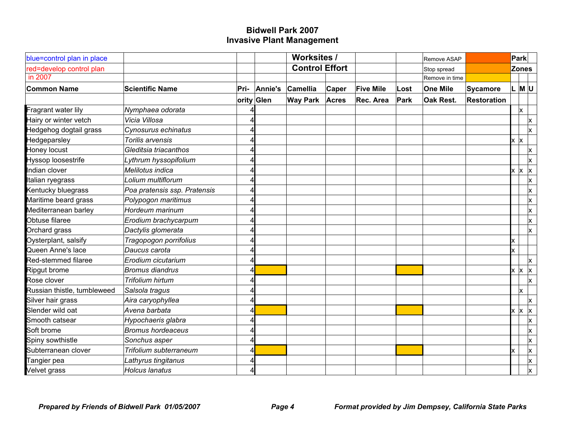| blue=control plan in place  |                              |      |            | <b>Worksites /</b>    |              |                  |      | Remove ASAP      |                    |                | <b>Park</b>       |                         |
|-----------------------------|------------------------------|------|------------|-----------------------|--------------|------------------|------|------------------|--------------------|----------------|-------------------|-------------------------|
| red=develop control plan    |                              |      |            | <b>Control Effort</b> |              |                  |      | Stop spread      |                    |                | <b>Zones</b>      |                         |
| in 2007                     |                              |      |            |                       |              |                  |      | Remove in time   |                    |                |                   |                         |
| <b>Common Name</b>          | <b>Scientific Name</b>       | Pri- | Annie's    | Camellia              | Caper        | <b>Five Mile</b> | Lost | One Mile         | <b>Sycamore</b>    |                | L M U             |                         |
|                             |                              |      | ority Glen | <b>Way Park</b>       | <b>Acres</b> | Rec. Area        | Park | <b>Oak Rest.</b> | <b>Restoration</b> |                |                   |                         |
| Fragrant water lily         | Nymphaea odorata             |      |            |                       |              |                  |      |                  |                    |                | Ιx.               |                         |
| Hairy or winter vetch       | Vicia Villosa                |      |            |                       |              |                  |      |                  |                    |                |                   | x                       |
| Hedgehog dogtail grass      | Cynosurus echinatus          |      |            |                       |              |                  |      |                  |                    |                |                   | IX.                     |
| Hedgeparsley                | Torilis arvensis             |      |            |                       |              |                  |      |                  |                    | $x \mid x$     |                   |                         |
| Honey locust                | Gleditsia triacanthos        |      |            |                       |              |                  |      |                  |                    |                |                   | $\mathsf{x}$            |
| <b>Hyssop loosestrife</b>   | Lythrum hyssopifolium        |      |            |                       |              |                  |      |                  |                    |                |                   | <b>x</b>                |
| Indian clover               | Melilotus indica             |      |            |                       |              |                  |      |                  |                    | $x \mathsf{X}$ |                   | $\vert x \vert$         |
| Italian ryegrass            | Lolium multiflorum           |      |            |                       |              |                  |      |                  |                    |                |                   | <b>x</b>                |
| Kentucky bluegrass          | Poa pratensis ssp. Pratensis |      |            |                       |              |                  |      |                  |                    |                |                   | X.                      |
| Maritime beard grass        | Polypogon maritimus          |      |            |                       |              |                  |      |                  |                    |                |                   | <b>x</b>                |
| Mediterranean barley        | Hordeum marinum              |      |            |                       |              |                  |      |                  |                    |                |                   | <b>x</b>                |
| Obtuse filaree              | Erodium brachycarpum         |      |            |                       |              |                  |      |                  |                    |                |                   | <b>x</b>                |
| Orchard grass               | Dactylis glomerata           |      |            |                       |              |                  |      |                  |                    |                |                   | <b>x</b>                |
| Oysterplant, salsify        | Tragopogon porrifolius       |      |            |                       |              |                  |      |                  |                    |                |                   |                         |
| Queen Anne's lace           | Daucus carota                |      |            |                       |              |                  |      |                  |                    | lx.            |                   |                         |
| Red-stemmed filaree         | Erodium cicutarium           |      |            |                       |              |                  |      |                  |                    |                |                   | <b>x</b>                |
| Ripgut brome                | <b>Bromus diandrus</b>       |      |            |                       |              |                  |      |                  |                    | <b>x</b>       | <b>x</b>          | $\vert x \vert$         |
| Rose clover                 | Trifolium hirtum             |      |            |                       |              |                  |      |                  |                    |                |                   | $\mathsf{\overline{x}}$ |
| Russian thistle, tumbleweed | Salsola tragus               |      |            |                       |              |                  |      |                  |                    |                | Ιx.               |                         |
| Silver hair grass           | Aira caryophyllea            |      |            |                       |              |                  |      |                  |                    |                |                   | $\mathsf{x}$            |
| Slender wild oat            | Avena barbata                |      |            |                       |              |                  |      |                  |                    |                | $x \mid x \mid x$ |                         |
| Smooth catsear              | Hypochaeris glabra           |      |            |                       |              |                  |      |                  |                    |                |                   | X.                      |
| Soft brome                  | <b>Bromus hordeaceus</b>     |      |            |                       |              |                  |      |                  |                    |                |                   | $\mathsf{\overline{x}}$ |
| Spiny sowthistle            | Sonchus asper                |      |            |                       |              |                  |      |                  |                    |                |                   | $\mathsf{x}$            |
| Subterranean clover         | Trifolium subterraneum       |      |            |                       |              |                  |      |                  |                    |                |                   | <b>x</b>                |
| Tangier pea                 | Lathyrus tingitanus          |      |            |                       |              |                  |      |                  |                    |                |                   | <b>x</b>                |
| Velvet grass                | Holcus lanatus               |      |            |                       |              |                  |      |                  |                    |                |                   | $\mathsf{\overline{x}}$ |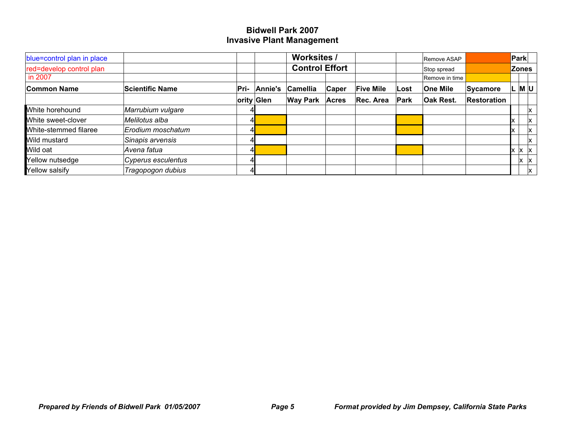| blue=control plan in place   |                    |      |            | <b>Worksites /</b>    |              |                  |      | Remove ASAP     |                    | Park         |             |
|------------------------------|--------------------|------|------------|-----------------------|--------------|------------------|------|-----------------|--------------------|--------------|-------------|
| red=develop control plan     |                    |      |            | <b>Control Effort</b> |              |                  |      | Stop spread     |                    | <b>Zones</b> |             |
| in 2007                      |                    |      |            |                       |              |                  |      | Remove in time  |                    |              |             |
| <b>Common Name</b>           | Scientific Name    | Pri- | Annie's    | Camellia              | Caper        | <b>Five Mile</b> | Lost | <b>One Mile</b> | Sycamore           |              | $M$ U       |
|                              |                    |      | ority Glen | <b>Way Park</b>       | <b>Acres</b> | Rec. Area        | Park | Oak Rest.       | <b>Restoration</b> |              |             |
| White horehound              | Marrubium vulgare  |      |            |                       |              |                  |      |                 |                    |              | X.          |
| White sweet-clover           | Melilotus alba     |      |            |                       |              |                  |      |                 |                    |              | Iх.         |
| <b>Mhite-stemmed filaree</b> | Erodium moschatum  |      |            |                       |              |                  |      |                 |                    |              | Iх.         |
| Wild mustard                 | Sinapis arvensis   |      |            |                       |              |                  |      |                 |                    |              | ΙX.         |
| Wild oat                     | Avena fatua        |      |            |                       |              |                  |      |                 |                    |              | X X         |
| Yellow nutsedge              | Cyperus esculentus |      |            |                       |              |                  |      |                 |                    | lx.          | $ {\bf x} $ |
| Yellow salsify               | Tragopogon dubius  |      |            |                       |              |                  |      |                 |                    |              | x           |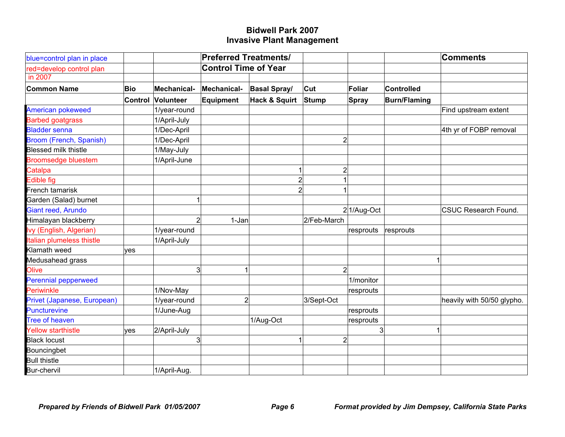| blue=control plan in place  |         |                | <b>Preferred Treatments/</b> |                          |                         |               |                     | <b>Comments</b>             |
|-----------------------------|---------|----------------|------------------------------|--------------------------|-------------------------|---------------|---------------------|-----------------------------|
| red=develop control plan    |         |                | <b>Control Time of Year</b>  |                          |                         |               |                     |                             |
| in 2007                     |         |                |                              |                          |                         |               |                     |                             |
| <b>Common Name</b>          | Bio     | Mechanical-    | Mechanical-                  | <b>Basal Spray/</b>      | Cut                     | Foliar        | <b>Controlled</b>   |                             |
|                             | Control | Volunteer      | <b>Equipment</b>             | <b>Hack &amp; Squirt</b> | Stump                   | <b>Spray</b>  | <b>Burn/Flaming</b> |                             |
| <b>American pokeweed</b>    |         | 1/year-round   |                              |                          |                         |               |                     | Find upstream extent        |
| <b>Barbed goatgrass</b>     |         | 1/April-July   |                              |                          |                         |               |                     |                             |
| <b>Bladder senna</b>        |         | 1/Dec-April    |                              |                          |                         |               |                     | 4th yr of FOBP removal      |
| Broom (French, Spanish)     |         | 1/Dec-April    |                              |                          | $\overline{\mathbf{c}}$ |               |                     |                             |
| <b>Blessed milk thistle</b> |         | 1/May-July     |                              |                          |                         |               |                     |                             |
| <b>Broomsedge bluestem</b>  |         | 1/April-June   |                              |                          |                         |               |                     |                             |
| Catalpa                     |         |                |                              |                          | $\overline{c}$          |               |                     |                             |
| <b>Edible fig</b>           |         |                |                              | $\mathbf{2}$             |                         |               |                     |                             |
| French tamarisk             |         |                |                              | $\overline{2}$           |                         |               |                     |                             |
| Garden (Salad) burnet       |         |                |                              |                          |                         |               |                     |                             |
| <b>Giant reed, Arundo</b>   |         |                |                              |                          |                         | $2 1/Aug-Oct$ |                     | <b>CSUC Research Found.</b> |
| Himalayan blackberry        |         | $\overline{2}$ | 1-Jan                        |                          | 2/Feb-March             |               |                     |                             |
| Ivy (English, Algerian)     |         | 1/year-round   |                              |                          |                         | resprouts     | resprouts           |                             |
| Italian plumeless thistle   |         | 1/April-July   |                              |                          |                         |               |                     |                             |
| Klamath weed                | lves    |                |                              |                          |                         |               |                     |                             |
| Medusahead grass            |         |                |                              |                          |                         |               |                     |                             |
| Olive                       |         | 3              |                              |                          | $\overline{2}$          |               |                     |                             |
| <b>Perennial pepperweed</b> |         |                |                              |                          |                         | 1/monitor     |                     |                             |
| Periwinkle                  |         | 1/Nov-May      |                              |                          |                         | resprouts     |                     |                             |
| Privet (Japanese, European) |         | 1/year-round   | $\overline{2}$               |                          | 3/Sept-Oct              |               |                     | heavily with 50/50 glypho.  |
| <b>Puncturevine</b>         |         | 1/June-Aug     |                              |                          |                         | resprouts     |                     |                             |
| <b>Tree of heaven</b>       |         |                |                              | 1/Aug-Oct                |                         | resprouts     |                     |                             |
| <b>Yellow starthistle</b>   | yes     | 2/April-July   |                              |                          |                         | 3             |                     |                             |
| <b>Black locust</b>         |         | 3              |                              |                          | $\overline{2}$          |               |                     |                             |
| Bouncingbet                 |         |                |                              |                          |                         |               |                     |                             |
| <b>Bull thistle</b>         |         |                |                              |                          |                         |               |                     |                             |
| Bur-chervil                 |         | 1/April-Aug.   |                              |                          |                         |               |                     |                             |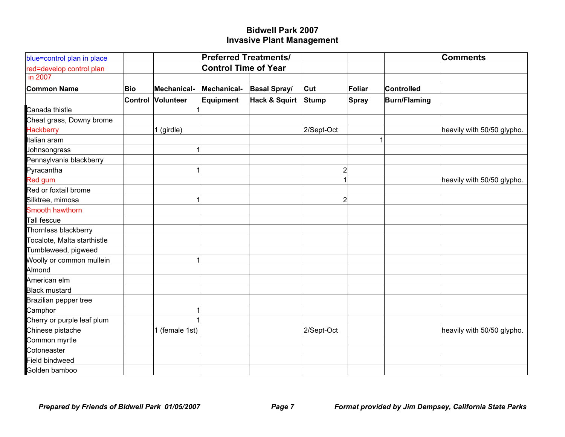| blue=control plan in place  |         |                | <b>Preferred Treatments/</b> |                          |                |        |                     | <b>Comments</b>            |
|-----------------------------|---------|----------------|------------------------------|--------------------------|----------------|--------|---------------------|----------------------------|
| red=develop control plan    |         |                | <b>Control Time of Year</b>  |                          |                |        |                     |                            |
| in 2007                     |         |                |                              |                          |                |        |                     |                            |
| <b>Common Name</b>          | Bio     | Mechanical-    | Mechanical-                  | <b>Basal Spray/</b>      | Cut            | Foliar | Controlled          |                            |
|                             | Control | Volunteer      | Equipment                    | <b>Hack &amp; Squirt</b> | Stump          | Spray  | <b>Burn/Flaming</b> |                            |
| Canada thistle              |         |                |                              |                          |                |        |                     |                            |
| Cheat grass, Downy brome    |         |                |                              |                          |                |        |                     |                            |
| <b>Hackberry</b>            |         | 1 (girdle)     |                              |                          | 2/Sept-Oct     |        |                     | heavily with 50/50 glypho. |
| Italian aram                |         |                |                              |                          |                |        |                     |                            |
| Johnsongrass                |         |                |                              |                          |                |        |                     |                            |
| Pennsylvania blackberry     |         |                |                              |                          |                |        |                     |                            |
| Pyracantha                  |         |                |                              |                          | $\overline{2}$ |        |                     |                            |
| <b>Red gum</b>              |         |                |                              |                          | 1              |        |                     | heavily with 50/50 glypho. |
| Red or foxtail brome        |         |                |                              |                          |                |        |                     |                            |
| Silktree, mimosa            |         |                |                              |                          | $\overline{2}$ |        |                     |                            |
| Smooth hawthorn             |         |                |                              |                          |                |        |                     |                            |
| Tall fescue                 |         |                |                              |                          |                |        |                     |                            |
| Thornless blackberry        |         |                |                              |                          |                |        |                     |                            |
| Tocalote, Malta starthistle |         |                |                              |                          |                |        |                     |                            |
| Tumbleweed, pigweed         |         |                |                              |                          |                |        |                     |                            |
| Woolly or common mullein    |         |                |                              |                          |                |        |                     |                            |
| Almond                      |         |                |                              |                          |                |        |                     |                            |
| American elm                |         |                |                              |                          |                |        |                     |                            |
| <b>Black mustard</b>        |         |                |                              |                          |                |        |                     |                            |
| Brazilian pepper tree       |         |                |                              |                          |                |        |                     |                            |
| Camphor                     |         |                |                              |                          |                |        |                     |                            |
| Cherry or purple leaf plum  |         |                |                              |                          |                |        |                     |                            |
| Chinese pistache            |         | 1 (female 1st) |                              |                          | 2/Sept-Oct     |        |                     | heavily with 50/50 glypho. |
| Common myrtle               |         |                |                              |                          |                |        |                     |                            |
| Cotoneaster                 |         |                |                              |                          |                |        |                     |                            |
| <b>Field bindweed</b>       |         |                |                              |                          |                |        |                     |                            |
| Golden bamboo               |         |                |                              |                          |                |        |                     |                            |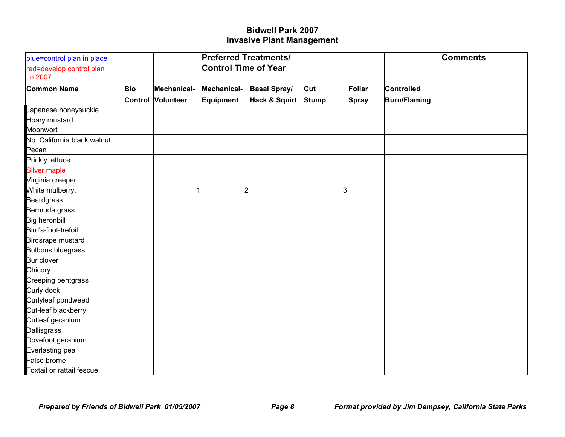| blue=control plan in place  |         |                  | <b>Preferred Treatments/</b> |                          |       |              |                     | <b>Comments</b> |
|-----------------------------|---------|------------------|------------------------------|--------------------------|-------|--------------|---------------------|-----------------|
| red=develop control plan    |         |                  | <b>Control Time of Year</b>  |                          |       |              |                     |                 |
| in 2007                     |         |                  |                              |                          |       |              |                     |                 |
| <b>Common Name</b>          | Bio     | Mechanical-      | Mechanical-                  | <b>Basal Spray/</b>      | Cut   | Foliar       | Controlled          |                 |
|                             | Control | <b>Volunteer</b> | Equipment                    | <b>Hack &amp; Squirt</b> | Stump | <b>Spray</b> | <b>Burn/Flaming</b> |                 |
| Japanese honeysuckle        |         |                  |                              |                          |       |              |                     |                 |
| Hoary mustard               |         |                  |                              |                          |       |              |                     |                 |
| Moonwort                    |         |                  |                              |                          |       |              |                     |                 |
| No. California black walnut |         |                  |                              |                          |       |              |                     |                 |
| Pecan                       |         |                  |                              |                          |       |              |                     |                 |
| Prickly lettuce             |         |                  |                              |                          |       |              |                     |                 |
| <b>Silver maple</b>         |         |                  |                              |                          |       |              |                     |                 |
| Virginia creeper            |         |                  |                              |                          |       |              |                     |                 |
| White mulberry.             |         |                  | $2\vert$                     |                          | 3     |              |                     |                 |
| <b>Beardgrass</b>           |         |                  |                              |                          |       |              |                     |                 |
| Bermuda grass               |         |                  |                              |                          |       |              |                     |                 |
| <b>Big heronbill</b>        |         |                  |                              |                          |       |              |                     |                 |
| Bird's-foot-trefoil         |         |                  |                              |                          |       |              |                     |                 |
| Birdsrape mustard           |         |                  |                              |                          |       |              |                     |                 |
| <b>Bulbous bluegrass</b>    |         |                  |                              |                          |       |              |                     |                 |
| <b>Bur clover</b>           |         |                  |                              |                          |       |              |                     |                 |
| Chicory                     |         |                  |                              |                          |       |              |                     |                 |
| <b>Creeping bentgrass</b>   |         |                  |                              |                          |       |              |                     |                 |
| Curly dock                  |         |                  |                              |                          |       |              |                     |                 |
| Curlyleaf pondweed          |         |                  |                              |                          |       |              |                     |                 |
| Cut-leaf blackberry         |         |                  |                              |                          |       |              |                     |                 |
| Cutleaf geranium            |         |                  |                              |                          |       |              |                     |                 |
| Dallisgrass                 |         |                  |                              |                          |       |              |                     |                 |
| Dovefoot geranium           |         |                  |                              |                          |       |              |                     |                 |
| Everlasting pea             |         |                  |                              |                          |       |              |                     |                 |
| False brome                 |         |                  |                              |                          |       |              |                     |                 |
| Foxtail or rattail fescue   |         |                  |                              |                          |       |              |                     |                 |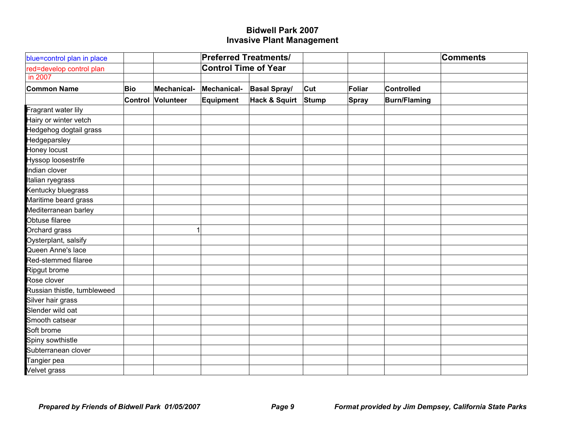| blue=control plan in place  |     |                          | <b>Preferred Treatments/</b> |                     |       |        |                     | <b>Comments</b> |
|-----------------------------|-----|--------------------------|------------------------------|---------------------|-------|--------|---------------------|-----------------|
| red=develop control plan    |     |                          | <b>Control Time of Year</b>  |                     |       |        |                     |                 |
| in 2007                     |     |                          |                              |                     |       |        |                     |                 |
| <b>Common Name</b>          | Bio | Mechanical-              | Mechanical-                  | <b>Basal Spray/</b> | Cut   | Foliar | Controlled          |                 |
|                             |     | <b>Control Volunteer</b> | Equipment                    | Hack & Squirt       | Stump | Spray  | <b>Burn/Flaming</b> |                 |
| Fragrant water lily         |     |                          |                              |                     |       |        |                     |                 |
| Hairy or winter vetch       |     |                          |                              |                     |       |        |                     |                 |
| Hedgehog dogtail grass      |     |                          |                              |                     |       |        |                     |                 |
| Hedgeparsley                |     |                          |                              |                     |       |        |                     |                 |
| Honey locust                |     |                          |                              |                     |       |        |                     |                 |
| Hyssop loosestrife          |     |                          |                              |                     |       |        |                     |                 |
| Indian clover               |     |                          |                              |                     |       |        |                     |                 |
| Italian ryegrass            |     |                          |                              |                     |       |        |                     |                 |
| Kentucky bluegrass          |     |                          |                              |                     |       |        |                     |                 |
| Maritime beard grass        |     |                          |                              |                     |       |        |                     |                 |
| Mediterranean barley        |     |                          |                              |                     |       |        |                     |                 |
| Obtuse filaree              |     |                          |                              |                     |       |        |                     |                 |
| Orchard grass               |     |                          |                              |                     |       |        |                     |                 |
| Oysterplant, salsify        |     |                          |                              |                     |       |        |                     |                 |
| Queen Anne's lace           |     |                          |                              |                     |       |        |                     |                 |
| Red-stemmed filaree         |     |                          |                              |                     |       |        |                     |                 |
| Ripgut brome                |     |                          |                              |                     |       |        |                     |                 |
| Rose clover                 |     |                          |                              |                     |       |        |                     |                 |
| Russian thistle, tumbleweed |     |                          |                              |                     |       |        |                     |                 |
| Silver hair grass           |     |                          |                              |                     |       |        |                     |                 |
| Slender wild oat            |     |                          |                              |                     |       |        |                     |                 |
| Smooth catsear              |     |                          |                              |                     |       |        |                     |                 |
| Soft brome                  |     |                          |                              |                     |       |        |                     |                 |
| Spiny sowthistle            |     |                          |                              |                     |       |        |                     |                 |
| Subterranean clover         |     |                          |                              |                     |       |        |                     |                 |
| Tangier pea                 |     |                          |                              |                     |       |        |                     |                 |
| <b>Velvet grass</b>         |     |                          |                              |                     |       |        |                     |                 |